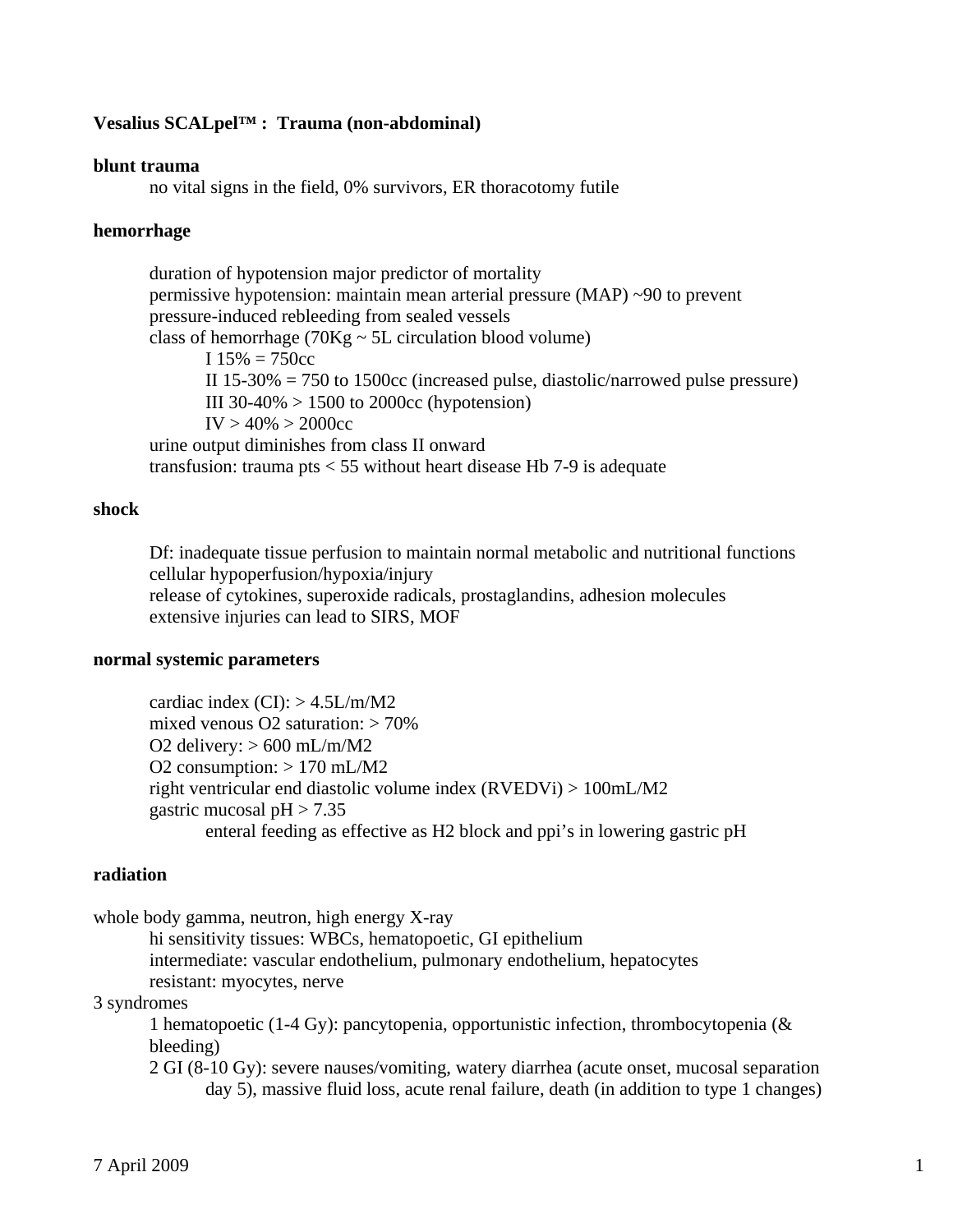### **Vesalius SCALpel™ : Trauma (non-abdominal)**

#### **blunt trauma**

no vital signs in the field, 0% survivors, ER thoracotomy futile

### **hemorrhage**

 duration of hypotension major predictor of mortality permissive hypotension: maintain mean arterial pressure (MAP) ~90 to prevent pressure-induced rebleeding from sealed vessels class of hemorrhage  $(70Kg \sim 5L$  circulation blood volume)  $I 15\% = 750cc$  II 15-30% = 750 to 1500cc (increased pulse, diastolic/narrowed pulse pressure) III 30-40% > 1500 to 2000cc (hypotension)  $IV > 40\% > 2000$ cc urine output diminishes from class II onward transfusion: trauma pts  $<$  55 without heart disease Hb 7-9 is adequate

#### **shock**

Df: inadequate tissue perfusion to maintain normal metabolic and nutritional functions cellular hypoperfusion/hypoxia/injury release of cytokines, superoxide radicals, prostaglandins, adhesion molecules extensive injuries can lead to SIRS, MOF

#### **normal systemic parameters**

cardiac index  $(CI)$ :  $> 4.5L/m/M2$ mixed venous  $O2$  saturation:  $> 70\%$ O2 delivery:  $> 600$  mL/m/M2 O2 consumption:  $> 170$  mL/M2 right ventricular end diastolic volume index (RVEDVi) > 100mL/M2 gastric mucosal  $pH > 7.35$ enteral feeding as effective as H2 block and ppi's in lowering gastric pH

### **radiation**

whole body gamma, neutron, high energy X-ray

 hi sensitivity tissues: WBCs, hematopoetic, GI epithelium intermediate: vascular endothelium, pulmonary endothelium, hepatocytes resistant: myocytes, nerve

## 3 syndromes

 1 hematopoetic (1-4 Gy): pancytopenia, opportunistic infection, thrombocytopenia (& bleeding)

 2 GI (8-10 Gy): severe nauses/vomiting, watery diarrhea (acute onset, mucosal separation day 5), massive fluid loss, acute renal failure, death (in addition to type 1 changes)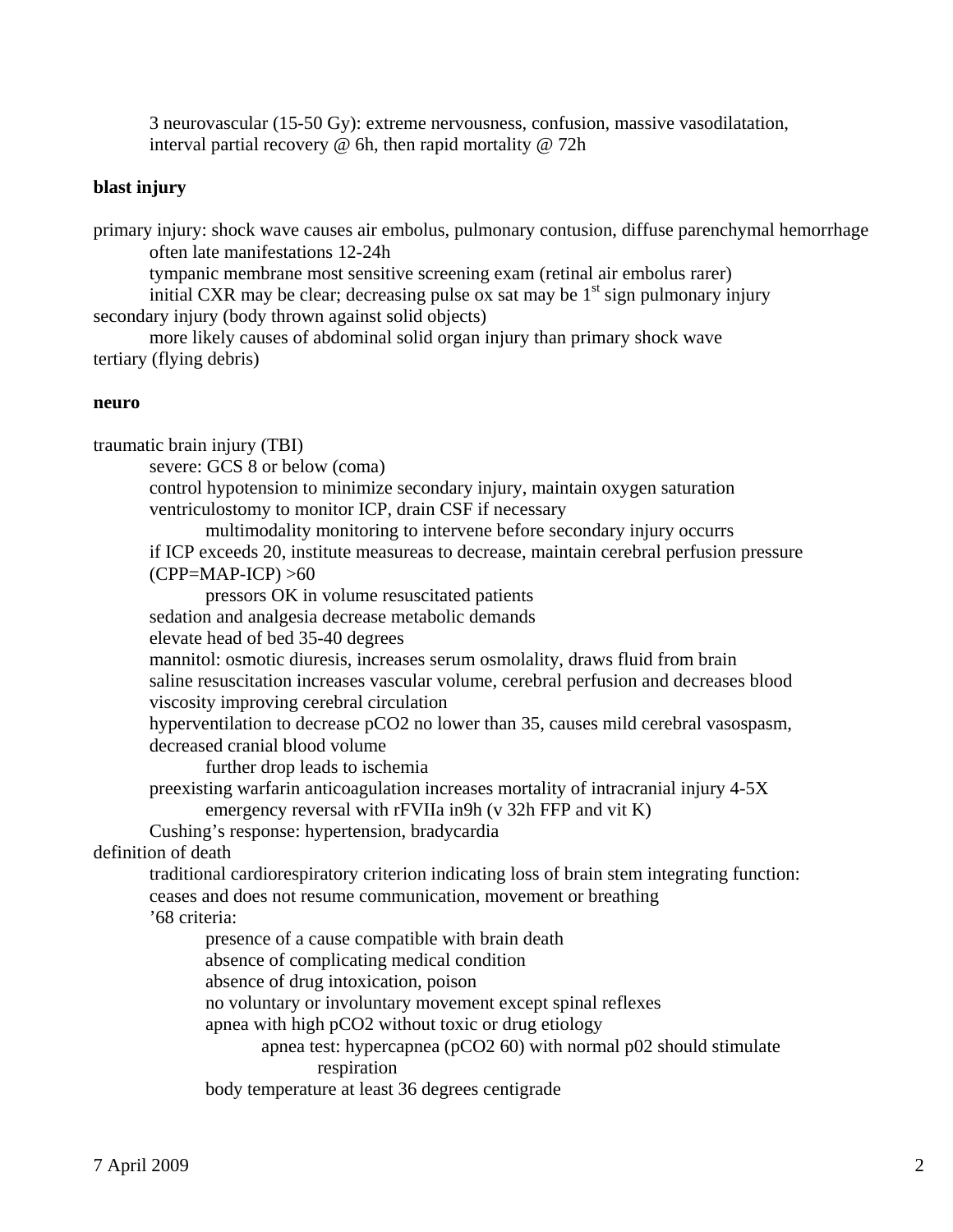3 neurovascular (15-50 Gy): extreme nervousness, confusion, massive vasodilatation, interval partial recovery @ 6h, then rapid mortality @ 72h

# **blast injury**

primary injury: shock wave causes air embolus, pulmonary contusion, diffuse parenchymal hemorrhage often late manifestations 12-24h

tympanic membrane most sensitive screening exam (retinal air embolus rarer)

initial CXR may be clear; decreasing pulse ox sat may be  $1<sup>st</sup>$  sign pulmonary injury secondary injury (body thrown against solid objects)

 more likely causes of abdominal solid organ injury than primary shock wave tertiary (flying debris)

### **neuro**

traumatic brain injury (TBI) severe: GCS 8 or below (coma) control hypotension to minimize secondary injury, maintain oxygen saturation ventriculostomy to monitor ICP, drain CSF if necessary multimodality monitoring to intervene before secondary injury occurrs if ICP exceeds 20, institute measureas to decrease, maintain cerebral perfusion pressure  $(CPP=MAP-ICP) > 60$  pressors OK in volume resuscitated patients sedation and analgesia decrease metabolic demands elevate head of bed 35-40 degrees mannitol: osmotic diuresis, increases serum osmolality, draws fluid from brain saline resuscitation increases vascular volume, cerebral perfusion and decreases blood viscosity improving cerebral circulation hyperventilation to decrease pCO2 no lower than 35, causes mild cerebral vasospasm, decreased cranial blood volume further drop leads to ischemia preexisting warfarin anticoagulation increases mortality of intracranial injury 4-5X emergency reversal with rFVIIa in9h (v 32h FFP and vit K) Cushing's response: hypertension, bradycardia definition of death traditional cardiorespiratory criterion indicating loss of brain stem integrating function: ceases and does not resume communication, movement or breathing '68 criteria: presence of a cause compatible with brain death absence of complicating medical condition absence of drug intoxication, poison no voluntary or involuntary movement except spinal reflexes apnea with high pCO2 without toxic or drug etiology apnea test: hypercapnea (pCO2 60) with normal p02 should stimulate respiration body temperature at least 36 degrees centigrade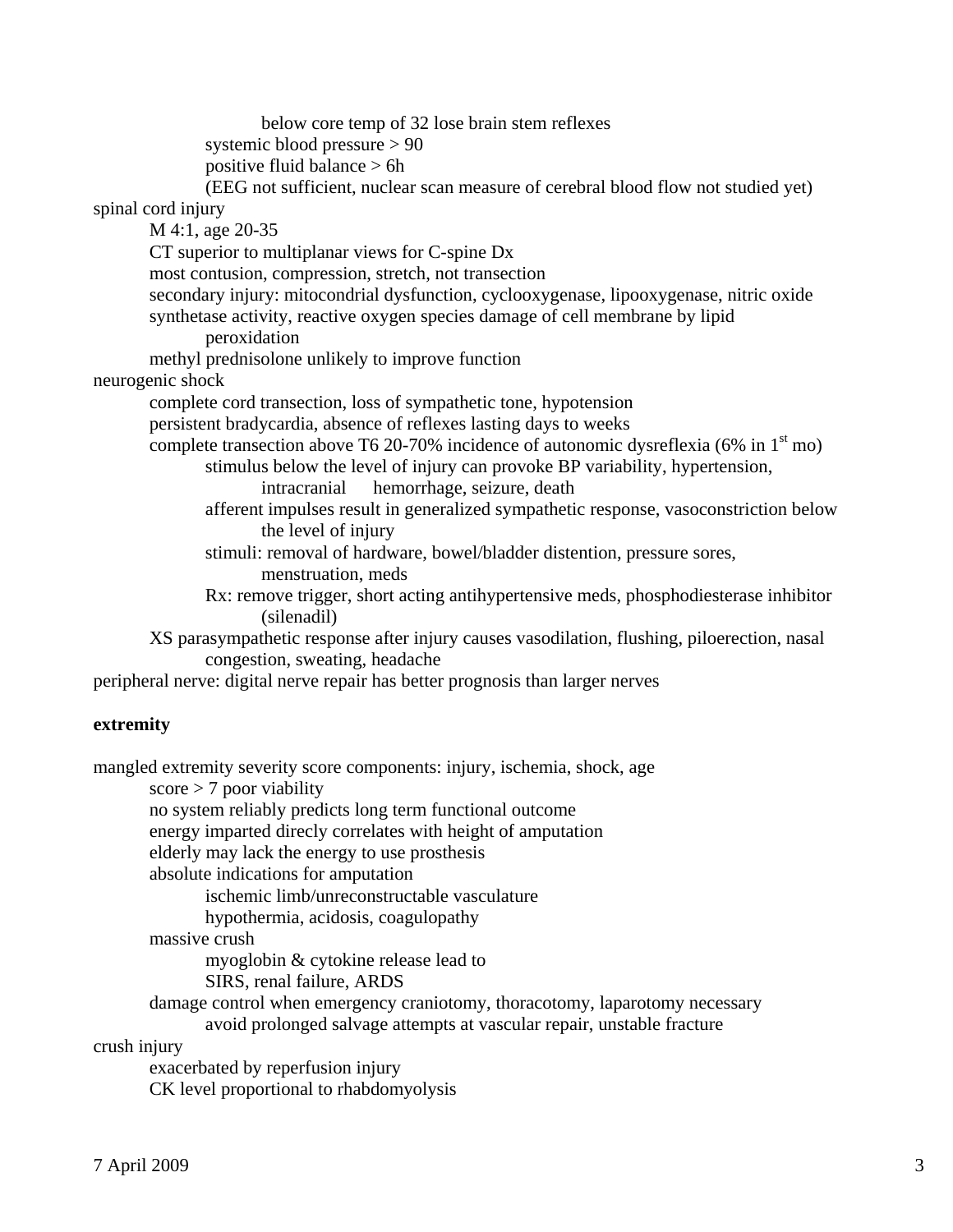below core temp of 32 lose brain stem reflexes systemic blood pressure > 90 positive fluid balance > 6h (EEG not sufficient, nuclear scan measure of cerebral blood flow not studied yet) spinal cord injury M 4:1, age 20-35 CT superior to multiplanar views for C-spine Dx most contusion, compression, stretch, not transection secondary injury: mitocondrial dysfunction, cyclooxygenase, lipooxygenase, nitric oxide synthetase activity, reactive oxygen species damage of cell membrane by lipid peroxidation methyl prednisolone unlikely to improve function neurogenic shock complete cord transection, loss of sympathetic tone, hypotension persistent bradycardia, absence of reflexes lasting days to weeks complete transection above T6 20-70% incidence of autonomic dysreflexia (6% in  $1<sup>st</sup>$  mo) stimulus below the level of injury can provoke BP variability, hypertension, intracranial hemorrhage, seizure, death afferent impulses result in generalized sympathetic response, vasoconstriction below the level of injury stimuli: removal of hardware, bowel/bladder distention, pressure sores, menstruation, meds Rx: remove trigger, short acting antihypertensive meds, phosphodiesterase inhibitor (silenadil) XS parasympathetic response after injury causes vasodilation, flushing, piloerection, nasal congestion, sweating, headache peripheral nerve: digital nerve repair has better prognosis than larger nerves **extremity**  mangled extremity severity score components: injury, ischemia, shock, age  $score$  > 7 poor viability no system reliably predicts long term functional outcome

energy imparted direcly correlates with height of amputation

elderly may lack the energy to use prosthesis

absolute indications for amputation

ischemic limb/unreconstructable vasculature

hypothermia, acidosis, coagulopathy

massive crush

myoglobin & cytokine release lead to

SIRS, renal failure, ARDS

 damage control when emergency craniotomy, thoracotomy, laparotomy necessary avoid prolonged salvage attempts at vascular repair, unstable fracture

crush injury

 exacerbated by reperfusion injury CK level proportional to rhabdomyolysis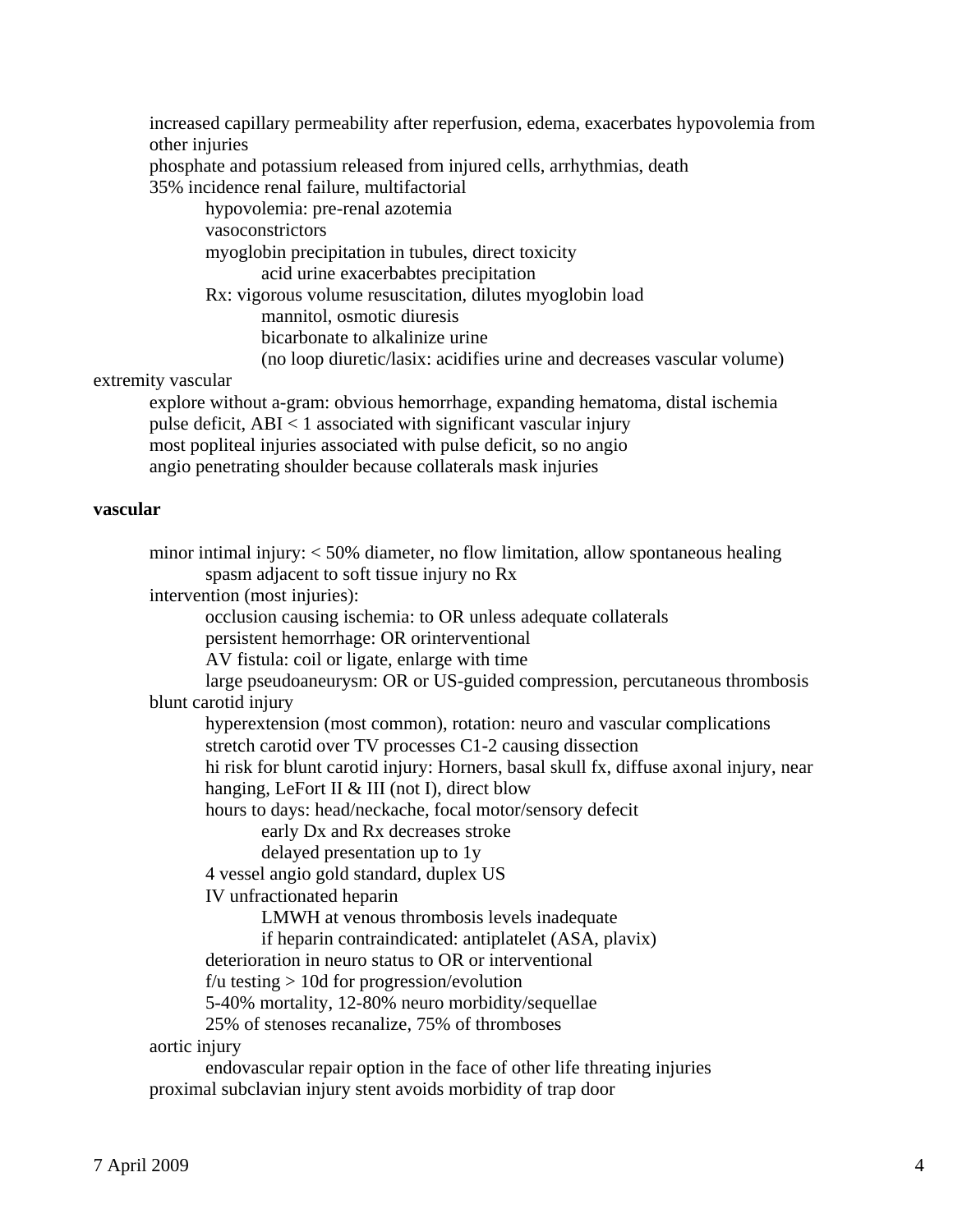increased capillary permeability after reperfusion, edema, exacerbates hypovolemia from other injuries

phosphate and potassium released from injured cells, arrhythmias, death

35% incidence renal failure, multifactorial

 hypovolemia: pre-renal azotemia vasoconstrictors myoglobin precipitation in tubules, direct toxicity acid urine exacerbabtes precipitation Rx: vigorous volume resuscitation, dilutes myoglobin load mannitol, osmotic diuresis bicarbonate to alkalinize urine (no loop diuretic/lasix: acidifies urine and decreases vascular volume)

# extremity vascular

 explore without a-gram: obvious hemorrhage, expanding hematoma, distal ischemia pulse deficit, ABI < 1 associated with significant vascular injury most popliteal injuries associated with pulse deficit, so no angio angio penetrating shoulder because collaterals mask injuries

## **vascular**

 minor intimal injury: < 50% diameter, no flow limitation, allow spontaneous healing spasm adjacent to soft tissue injury no Rx intervention (most injuries): occlusion causing ischemia: to OR unless adequate collaterals persistent hemorrhage: OR orinterventional AV fistula: coil or ligate, enlarge with time large pseudoaneurysm: OR or US-guided compression, percutaneous thrombosis blunt carotid injury hyperextension (most common), rotation: neuro and vascular complications stretch carotid over TV processes C1-2 causing dissection hi risk for blunt carotid injury: Horners, basal skull fx, diffuse axonal injury, near hanging, LeFort II & III (not I), direct blow hours to days: head/neckache, focal motor/sensory defecit early Dx and Rx decreases stroke delayed presentation up to 1y 4 vessel angio gold standard, duplex US IV unfractionated heparin LMWH at venous thrombosis levels inadequate if heparin contraindicated: antiplatelet (ASA, plavix) deterioration in neuro status to OR or interventional  $f/u$  testing  $> 10d$  for progression/evolution 5-40% mortality, 12-80% neuro morbidity/sequellae 25% of stenoses recanalize, 75% of thromboses aortic injury endovascular repair option in the face of other life threating injuries proximal subclavian injury stent avoids morbidity of trap door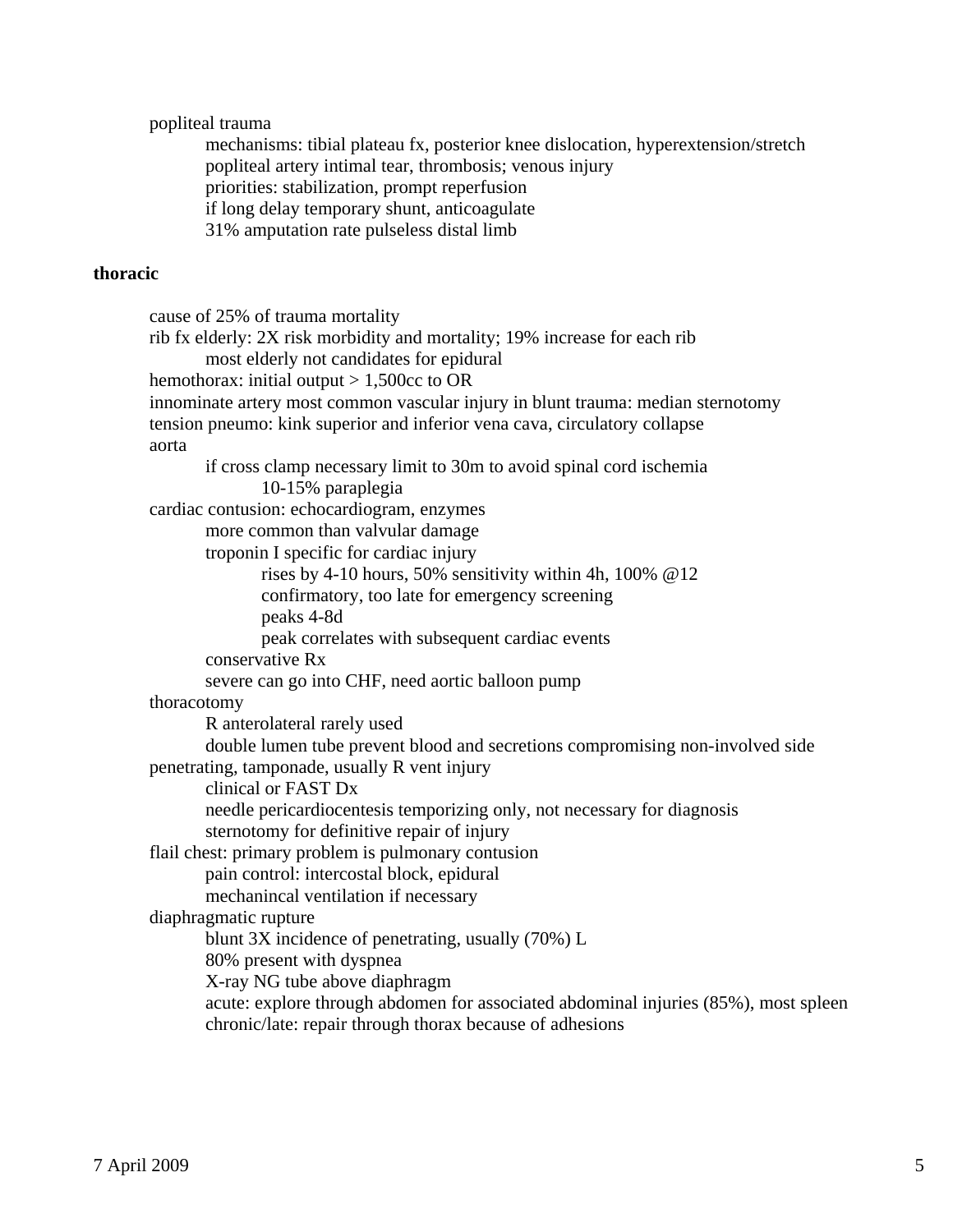popliteal trauma

 mechanisms: tibial plateau fx, posterior knee dislocation, hyperextension/stretch popliteal artery intimal tear, thrombosis; venous injury priorities: stabilization, prompt reperfusion if long delay temporary shunt, anticoagulate 31% amputation rate pulseless distal limb

# **thoracic**

```
 cause of 25% of trauma mortality 
 rib fx elderly: 2X risk morbidity and mortality; 19% increase for each rib 
        most elderly not candidates for epidural 
hemothorax: initial output > 1,500cc to OR
 innominate artery most common vascular injury in blunt trauma: median sternotomy 
 tension pneumo: kink superior and inferior vena cava, circulatory collapse 
 aorta 
        if cross clamp necessary limit to 30m to avoid spinal cord ischemia 
                10-15% paraplegia 
 cardiac contusion: echocardiogram, enzymes 
        more common than valvular damage 
        troponin I specific for cardiac injury 
                rises by 4-10 hours, 50% sensitivity within 4h, 100% @12 
                confirmatory, too late for emergency screening 
                peaks 4-8d 
                peak correlates with subsequent cardiac events 
        conservative Rx 
        severe can go into CHF, need aortic balloon pump 
 thoracotomy 
        R anterolateral rarely used 
        double lumen tube prevent blood and secretions compromising non-involved side 
 penetrating, tamponade, usually R vent injury 
        clinical or FAST Dx 
        needle pericardiocentesis temporizing only, not necessary for diagnosis 
        sternotomy for definitive repair of injury 
 flail chest: primary problem is pulmonary contusion 
        pain control: intercostal block, epidural 
        mechanincal ventilation if necessary 
 diaphragmatic rupture 
        blunt 3X incidence of penetrating, usually (70%) L 
        80% present with dyspnea 
        X-ray NG tube above diaphragm 
        acute: explore through abdomen for associated abdominal injuries (85%), most spleen 
        chronic/late: repair through thorax because of adhesions
```